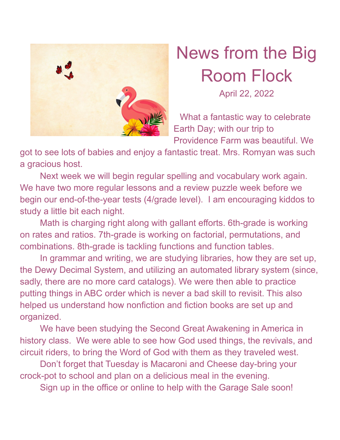

## News from the Big Room Flock

April 22, 2022

What a fantastic way to celebrate Earth Day; with our trip to Providence Farm was beautiful. We

got to see lots of babies and enjoy a fantastic treat. Mrs. Romyan was such a gracious host.

Next week we will begin regular spelling and vocabulary work again. We have two more regular lessons and a review puzzle week before we begin our end-of-the-year tests (4/grade level). I am encouraging kiddos to study a little bit each night.

Math is charging right along with gallant efforts. 6th-grade is working on rates and ratios. 7th-grade is working on factorial, permutations, and combinations. 8th-grade is tackling functions and function tables.

In grammar and writing, we are studying libraries, how they are set up, the Dewy Decimal System, and utilizing an automated library system (since, sadly, there are no more card catalogs). We were then able to practice putting things in ABC order which is never a bad skill to revisit. This also helped us understand how nonfiction and fiction books are set up and organized.

We have been studying the Second Great Awakening in America in history class. We were able to see how God used things, the revivals, and circuit riders, to bring the Word of God with them as they traveled west.

Don't forget that Tuesday is Macaroni and Cheese day-bring your crock-pot to school and plan on a delicious meal in the evening.

Sign up in the office or online to help with the Garage Sale soon!